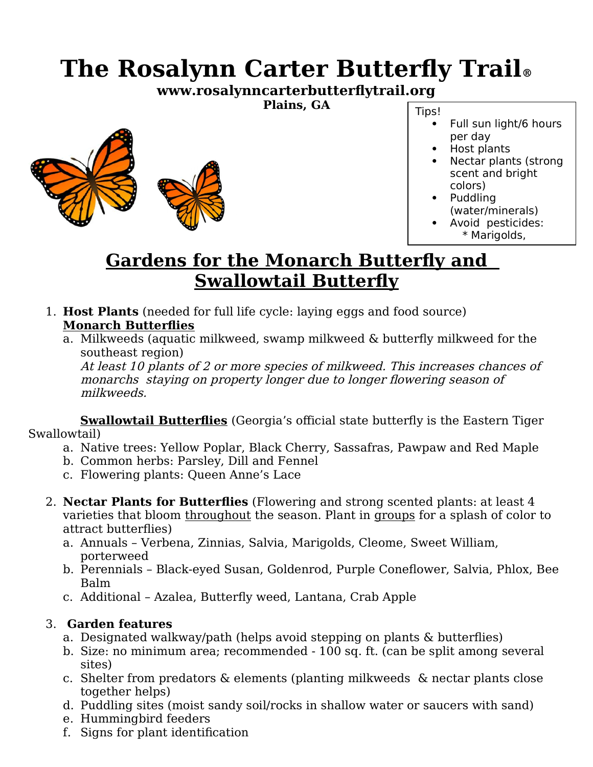## **The Rosalynn Carter Butterfly Trail®**

**www.rosalynncarterbutterflytrail.org**

**Plains, GA**



- Tips!
	- Full sun light/6 hours per day
	- Host plants
	- Nectar plants (strong scent and bright colors)
	- Puddling (water/minerals)
	- Avoid pesticides: \* Marigolds,

## **Gardens for the Monarch Butterfly and Swallowtail Butterfly**

- 1. **Host Plants** (needed for full life cycle: laying eggs and food source) **Monarch Butterflies**
	- a. Milkweeds (aquatic milkweed, swamp milkweed & butterfly milkweed for the southeast region)

At least 10 plants of 2 or more species of milkweed. This increases chances of monarchs staying on property longer due to longer flowering season of milkweeds.

**Swallowtail Butterflies** (Georgia's official state butterfly is the Eastern Tiger Swallowtail)

- a. Native trees: Yellow Poplar, Black Cherry, Sassafras, Pawpaw and Red Maple
- b. Common herbs: Parsley, Dill and Fennel
- c. Flowering plants: Queen Anne's Lace
- 2. **Nectar Plants for Butterflies** (Flowering and strong scented plants: at least 4 varieties that bloom throughout the season. Plant in groups for a splash of color to attract butterflies)
	- a. Annuals Verbena, Zinnias, Salvia, Marigolds, Cleome, Sweet William, porterweed
	- b. Perennials Black-eyed Susan, Goldenrod, Purple Coneflower, Salvia, Phlox, Bee Balm
	- c. Additional Azalea, Butterfly weed, Lantana, Crab Apple

## 3. **Garden features**

- a. Designated walkway/path (helps avoid stepping on plants & butterflies)
- b. Size: no minimum area; recommended 100 sq. ft. (can be split among several sites)
- c. Shelter from predators & elements (planting milkweeds & nectar plants close together helps)
- d. Puddling sites (moist sandy soil/rocks in shallow water or saucers with sand)
- e. Hummingbird feeders
- f. Signs for plant identification